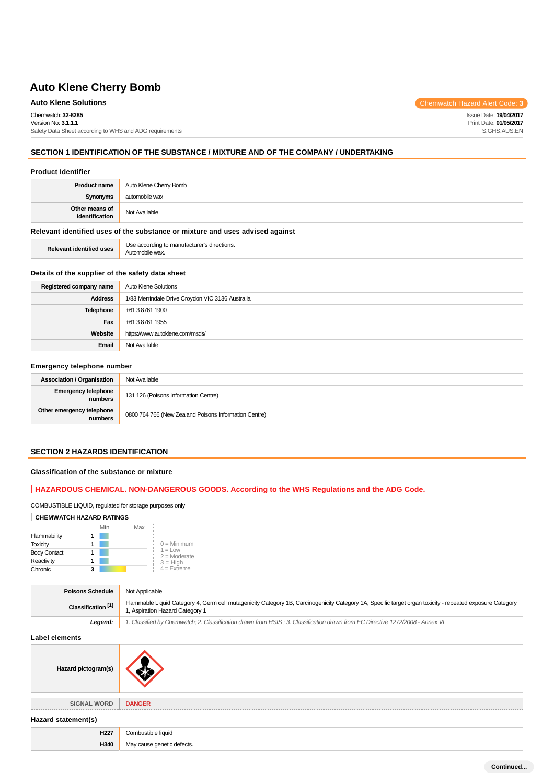Chemwatch: **32-8285**

Version No: **3.1.1.1** Safety Data Sheet according to WHS and ADG requirements

# **SECTION 1 IDENTIFICATION OF THE SUBSTANCE / MIXTURE AND OF THE COMPANY / UNDERTAKING**

### **Product Identifier**

| <b>Product name</b>              | Auto Klene Cherry Bomb |
|----------------------------------|------------------------|
| <b>Synonyms</b>                  | automobile wax         |
| Other means of<br>identification | Not Available          |

# **Relevant identified uses of the substance or mixture and uses advised against**

**Relevant identified uses** Use according to manufacturer's directions. Automobile wax.

### **Details of the supplier of the safety data sheet**

| Registered company name | Auto Klene Solutions                             |
|-------------------------|--------------------------------------------------|
| <b>Address</b>          | 1/83 Merrindale Drive Croydon VIC 3136 Australia |
| <b>Telephone</b>        | +61 3 8761 1900                                  |
| Fax                     | +61 3 8761 1955                                  |
| Website                 | https://www.autoklene.com/msds/                  |
| Email                   | Not Available                                    |

### **Emergency telephone number**

| <b>Association / Organisation</b>    | Not Available                                         |
|--------------------------------------|-------------------------------------------------------|
| Emergency telephone<br>numbers       | 131 126 (Poisons Information Centre)                  |
| Other emergency telephone<br>numbers | 0800 764 766 (New Zealand Poisons Information Centre) |

### **SECTION 2 HAZARDS IDENTIFICATION**

### **Classification of the substance or mixture**

### **HAZARDOUS CHEMICAL. NON-DANGEROUS GOODS. According to the WHS Regulations and the ADG Code.**

# COMBUSTIBLE LIQUID, regulated for storage purposes only

### **CHEMWATCH HAZARD RATINGS**

|                     | Min | Max |                             |
|---------------------|-----|-----|-----------------------------|
| Flammability        |     |     |                             |
| <b>Toxicity</b>     |     |     | $0 =$ Minimum               |
| <b>Body Contact</b> |     |     | $1 = Low$<br>$2 =$ Moderate |
| Reactivity          |     |     | $3 = High$                  |
| Chronic             | 3   |     | $4 =$ Extreme               |

| <b>Poisons Schedule</b>       | Not Applicable                                                                                                                                                                              |
|-------------------------------|---------------------------------------------------------------------------------------------------------------------------------------------------------------------------------------------|
| Classification <sup>[1]</sup> | Flammable Liquid Category 4, Germ cell mutagenicity Category 1B, Carcinogenicity Category 1A, Specific target organ toxicity - repeated exposure Category<br>, Aspiration Hazard Category 1 |
| Leaend:                       | 1. Classified by Chemwatch; 2. Classification drawn from HSIS; 3. Classification drawn from EC Directive 1272/2008 - Annex VI                                                               |

**Label elements**

**Hazard pictogram(s)**



**SIGNAL WORD DANGER**

**Hazard statement(s)**

| 11003  | `omh       |
|--------|------------|
| ΠZ     | ble liauio |
| $\sim$ | defects.   |

Issue Date: **19/04/2017** Print Date: **01/05/2017** S.GHS.AUS.EN

# **Auto Klene Solutions** Chemwatch Hazard Alert Code: 3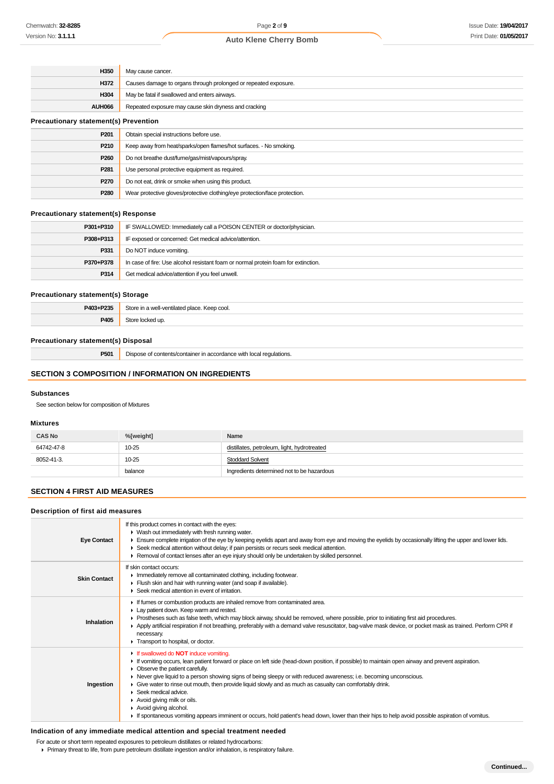| H350                                         | May cause cancer.                                                          |  |
|----------------------------------------------|----------------------------------------------------------------------------|--|
| H372                                         | Causes damage to organs through prolonged or repeated exposure.            |  |
| H304                                         | May be fatal if swallowed and enters airways.                              |  |
| AUH066                                       | Repeated exposure may cause skin dryness and cracking                      |  |
| <b>Precautionary statement(s) Prevention</b> |                                                                            |  |
| P <sub>201</sub>                             | Obtain special instructions before use.                                    |  |
| P210                                         | Keep away from heat/sparks/open flames/hot surfaces. - No smoking.         |  |
| P260                                         | Do not breathe dust/fume/gas/mist/vapours/spray.                           |  |
| P281                                         | Use personal protective equipment as required.                             |  |
| P270                                         | Do not eat, drink or smoke when using this product.                        |  |
| P280                                         | Wear protective gloves/protective clothing/eye protection/face protection. |  |

### **Precautionary statement(s) Response**

| P301+P310 | IF SWALLOWED: Immediately call a POISON CENTER or doctor/physician.                |  |
|-----------|------------------------------------------------------------------------------------|--|
| P308+P313 | IF exposed or concerned: Get medical advice/attention.                             |  |
| P331      | Do NOT induce vomiting.                                                            |  |
| P370+P378 | In case of fire: Use alcohol resistant foam or normal protein foam for extinction. |  |
| P314      | Get medical advice/attention if you feel unwell.                                   |  |

### **Precautionary statement(s) Storage**

| <b>P403+P235</b> | ∖t∩r<br>cool.<br>$n^{2}$<br>100110100<br>$\cdots$<br>Keer<br>11.AI 13<br>. |  |
|------------------|----------------------------------------------------------------------------|--|
| P405             | Stor<br>un                                                                 |  |

# **Precautionary statement(s) Disposal**

**P501** Dispose of contents/container in accordance with local regulations.

### **SECTION 3 COMPOSITION / INFORMATION ON INGREDIENTS**

#### **Substances**

See section below for composition of Mixtures

### **Mixtures**

| <b>CAS No</b> | %[weight] | Name                                        |
|---------------|-----------|---------------------------------------------|
| 64742-47-8    | $10 - 25$ | distillates, petroleum, light, hydrotreated |
| 8052-41-3.    | $10 - 25$ | <b>Stoddard Solvent</b>                     |
|               | balance   | Ingredients determined not to be hazardous  |

### **SECTION 4 FIRST AID MEASURES**

### **Description of first aid measures**

| <b>Eye Contact</b>  | If this product comes in contact with the eyes:<br>• Wash out immediately with fresh running water.<br>Ensure complete irrigation of the eye by keeping eyelids apart and away from eye and moving the eyelids by occasionally lifting the upper and lower lids.<br>► Seek medical attention without delay; if pain persists or recurs seek medical attention.<br>► Removal of contact lenses after an eye injury should only be undertaken by skilled personnel.                                                                                                                                                                                                                                                                                      |
|---------------------|--------------------------------------------------------------------------------------------------------------------------------------------------------------------------------------------------------------------------------------------------------------------------------------------------------------------------------------------------------------------------------------------------------------------------------------------------------------------------------------------------------------------------------------------------------------------------------------------------------------------------------------------------------------------------------------------------------------------------------------------------------|
| <b>Skin Contact</b> | If skin contact occurs:<br>Inmediately remove all contaminated clothing, including footwear.<br>Flush skin and hair with running water (and soap if available).<br>▶ Seek medical attention in event of irritation.                                                                                                                                                                                                                                                                                                                                                                                                                                                                                                                                    |
| Inhalation          | If fumes or combustion products are inhaled remove from contaminated area.<br>Lay patient down. Keep warm and rested.<br>► Prostheses such as false teeth, which may block airway, should be removed, where possible, prior to initiating first aid procedures.<br>Apply artificial respiration if not breathing, preferably with a demand valve resuscitator, bag-valve mask device, or pocket mask as trained. Perform CPR if<br>necessary.<br>Transport to hospital, or doctor.                                                                                                                                                                                                                                                                     |
| Ingestion           | <b>If swallowed do NOT induce vomiting.</b><br>If vomiting occurs, lean patient forward or place on left side (head-down position, if possible) to maintain open airway and prevent aspiration.<br>Observe the patient carefully.<br>► Never give liquid to a person showing signs of being sleepy or with reduced awareness; i.e. becoming unconscious.<br>• Give water to rinse out mouth, then provide liquid slowly and as much as casualty can comfortably drink.<br>$\blacktriangleright$ Seek medical advice.<br>$\blacktriangleright$ Avoid giving milk or oils.<br>Avoid giving alcohol.<br>If spontaneous vomiting appears imminent or occurs, hold patient's head down, lower than their hips to help avoid possible aspiration of vomitus. |

# **Indication of any immediate medical attention and special treatment needed**

For acute or short term repeated exposures to petroleum distillates or related hydrocarbons:

Primary threat to life, from pure petroleum distillate ingestion and/or inhalation, is respiratory failure.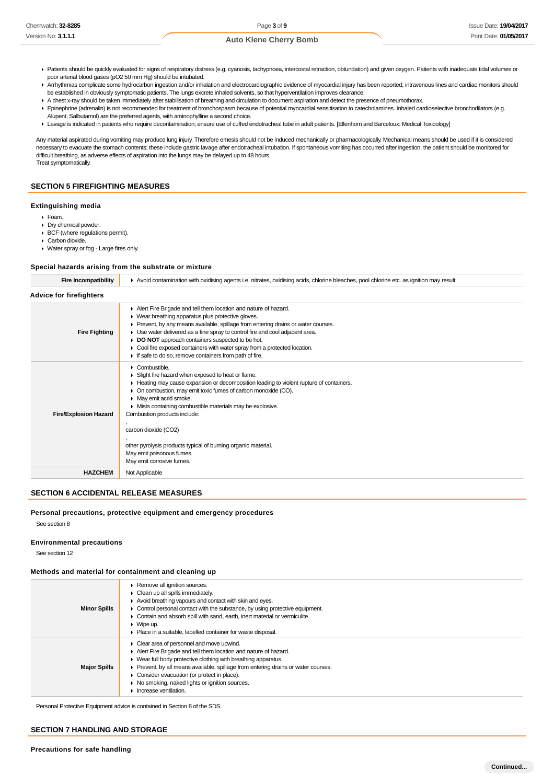- ▶ Patients should be quickly evaluated for signs of respiratory distress (e.g. cyanosis, tachypnoea, intercostal retraction, obtundation) and given oxygen. Patients with inadequate tidal volumes or poor arterial blood gases (pO2 50 mm Hg) should be intubated.
- ▶ Arrhythmias complicate some hydrocarbon ingestion and/or inhalation and electrocardiographic evidence of myocardial injury has been reported; intravenous lines and cardiac monitors should be established in obviously symptomatic patients. The lungs excrete inhaled solvents, so that hyperventilation improves clearance.
- A chest x-ray should be taken immediately after stabilisation of breathing and circulation to document aspiration and detect the presence of pneumothorax.
- Epinephrine (adrenalin) is not recommended for treatment of bronchospasm because of potential myocardial sensitisation to catecholamines. Inhaled cardioselective bronchodilators (e.g. Alupent, Salbutamol) are the preferred agents, with aminophylline a second choice.
- Lavage is indicated in patients who require decontamination; ensure use of cuffed endotracheal tube in adult patients. [Ellenhorn and Barceloux: Medical Toxicology]

Any material aspirated during vomiting may produce lung injury. Therefore emesis should not be induced mechanically or pharmacologically. Mechanical means should be used if it is considered necessary to evacuate the stomach contents; these include gastric lavage after endotracheal intubation. If spontaneous vomiting has occurred after ingestion, the patient should be monitored for difficult breathing, as adverse effects of aspiration into the lungs may be delayed up to 48 hours. Treat symptomatically.

### **SECTION 5 FIREFIGHTING MEASURES**

### **Extinguishing media**

- Foam.
- Dry chemical powder.
- BCF (where regulations permit).
- Carbon dioxide.
- Water spray or fog Large fires only.

# **Special hazards arising from the substrate or mixture**

| Fire Incompatibility           | ▶ Avoid contamination with oxidising agents i.e. nitrates, oxidising acids, chlorine bleaches, pool chlorine etc. as ignition may result                                                                                                                                                                                                                                                                                                                                                                                   |  |  |
|--------------------------------|----------------------------------------------------------------------------------------------------------------------------------------------------------------------------------------------------------------------------------------------------------------------------------------------------------------------------------------------------------------------------------------------------------------------------------------------------------------------------------------------------------------------------|--|--|
| <b>Advice for firefighters</b> |                                                                                                                                                                                                                                                                                                                                                                                                                                                                                                                            |  |  |
| <b>Fire Fighting</b>           | Alert Fire Brigade and tell them location and nature of hazard.<br>▶ Wear breathing apparatus plus protective gloves.<br>► Prevent, by any means available, spillage from entering drains or water courses.<br>• Use water delivered as a fine spray to control fire and cool adjacent area.<br>▶ DO NOT approach containers suspected to be hot.<br>Cool fire exposed containers with water spray from a protected location.<br>If safe to do so, remove containers from path of fire.                                    |  |  |
| <b>Fire/Explosion Hazard</b>   | $\triangleright$ Combustible.<br>Slight fire hazard when exposed to heat or flame.<br>► Heating may cause expansion or decomposition leading to violent rupture of containers.<br>• On combustion, may emit toxic fumes of carbon monoxide (CO).<br>• May emit acrid smoke.<br>Mists containing combustible materials may be explosive.<br>Combustion products include:<br>carbon dioxide (CO2)<br>other pyrolysis products typical of burning organic material.<br>May emit poisonous fumes.<br>May emit corrosive fumes. |  |  |
| <b>HAZCHEM</b>                 | Not Applicable                                                                                                                                                                                                                                                                                                                                                                                                                                                                                                             |  |  |
|                                |                                                                                                                                                                                                                                                                                                                                                                                                                                                                                                                            |  |  |

### **SECTION 6 ACCIDENTAL RELEASE MEASURES**

### **Personal precautions, protective equipment and emergency procedures**

See section 8

#### **Environmental precautions**

See section 12

### **Methods and material for containment and cleaning up**

| <b>Minor Spills</b> | ▶ Remove all ignition sources.<br>$\triangleright$ Clean up all spills immediately.<br>Avoid breathing vapours and contact with skin and eyes.<br>• Control personal contact with the substance, by using protective equipment.<br>• Contain and absorb spill with sand, earth, inert material or vermiculite.<br>$\triangleright$ Wipe up.<br>• Place in a suitable, labelled container for waste disposal.                                               |
|---------------------|------------------------------------------------------------------------------------------------------------------------------------------------------------------------------------------------------------------------------------------------------------------------------------------------------------------------------------------------------------------------------------------------------------------------------------------------------------|
| <b>Major Spills</b> | • Clear area of personnel and move upwind.<br>Alert Fire Brigade and tell them location and nature of hazard.<br>$\blacktriangleright$ Wear full body protective clothing with breathing apparatus.<br>$\triangleright$ Prevent, by all means available, spillage from entering drains or water courses.<br>• Consider evacuation (or protect in place).<br>▶ No smoking, naked lights or ignition sources.<br>$\blacktriangleright$ Increase ventilation. |

Personal Protective Equipment advice is contained in Section 8 of the SDS.

### **SECTION 7 HANDLING AND STORAGE**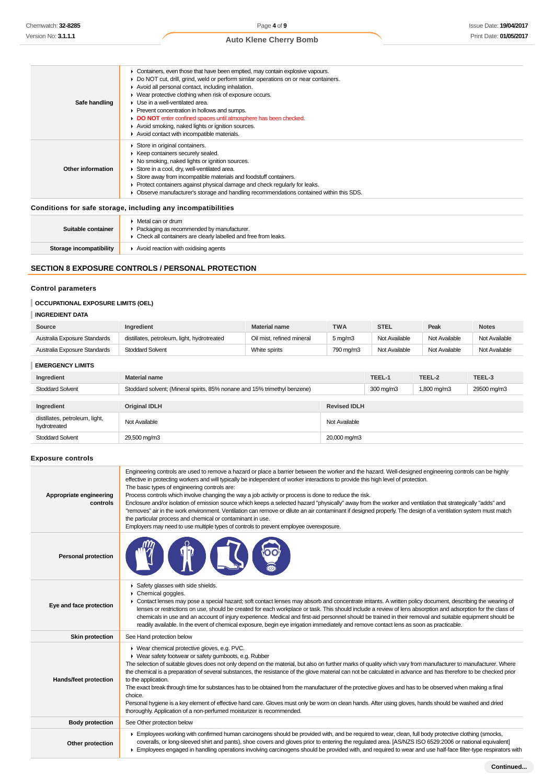| Safe handling      | • Containers, even those that have been emptied, may contain explosive vapours.<br>Do NOT cut, drill, grind, weld or perform similar operations on or near containers.<br>Avoid all personal contact, including inhalation.<br>• Wear protective clothing when risk of exposure occurs.<br>• Use in a well-ventilated area.<br>Prevent concentration in hollows and sumps.<br>DO NOT enter confined spaces until atmosphere has been checked.<br>Avoid smoking, naked lights or ignition sources.<br>Avoid contact with incompatible materials. |
|--------------------|-------------------------------------------------------------------------------------------------------------------------------------------------------------------------------------------------------------------------------------------------------------------------------------------------------------------------------------------------------------------------------------------------------------------------------------------------------------------------------------------------------------------------------------------------|
| Other information  | Store in original containers.<br>▶ Keep containers securely sealed.<br>▶ No smoking, naked lights or ignition sources.<br>Store in a cool, dry, well-ventilated area.<br>Store away from incompatible materials and foodstuff containers.<br>▶ Protect containers against physical damage and check regularly for leaks.<br>Observe manufacturer's storage and handling recommendations contained within this SDS.                                                                                                                              |
|                    | Conditions for safe storage, including any incompatibilities                                                                                                                                                                                                                                                                                                                                                                                                                                                                                    |
| Suitable container | $\triangleright$ Metal can or drum<br>• Packaging as recommended by manufacturer.                                                                                                                                                                                                                                                                                                                                                                                                                                                               |

# **SECTION 8 EXPOSURE CONTROLS / PERSONAL PROTECTION**

**Storage incompatibility F** Avoid reaction with oxidising agents

Check all containers are clearly labelled and free from leaks.

# **Control parameters**

# **OCCUPATIONAL EXPOSURE LIMITS (OEL)**

| <b>INGREDIENT DATA</b>       |                                             |                           |                  |               |               |               |
|------------------------------|---------------------------------------------|---------------------------|------------------|---------------|---------------|---------------|
| Source                       | Ingredient                                  | <b>Material name</b>      | <b>TWA</b>       | <b>STEL</b>   | Peak          | <b>Notes</b>  |
| Australia Exposure Standards | distillates, petroleum, light, hydrotreated | Oil mist, refined mineral | $5 \text{ mg/m}$ | Not Available | Not Available | Not Available |
| Australia Exposure Standards | <b>Stoddard Solvent</b>                     | White spirits             | 790 mg/m3        | Not Available | Not Available | Not Available |

# **EMERGENCY LIMITS**

| EMERGENCT LIMITS                               |                                                                           |                     |           |             |             |
|------------------------------------------------|---------------------------------------------------------------------------|---------------------|-----------|-------------|-------------|
| Ingredient                                     | Material name                                                             |                     | TEEL-1    | TEEL-2      | TEEL-3      |
| Stoddard Solvent                               | Stoddard solvent; (Mineral spirits, 85% nonane and 15% trimethyl benzene) |                     | 300 mg/m3 | 1,800 mg/m3 | 29500 mg/m3 |
|                                                |                                                                           |                     |           |             |             |
| Ingredient                                     | <b>Original IDLH</b>                                                      | <b>Revised IDLH</b> |           |             |             |
| distillates, petroleum, light,<br>hydrotreated | Not Available                                                             | Not Available       |           |             |             |
| <b>Stoddard Solvent</b>                        | 29,500 mg/m3                                                              | 20,000 mg/m3        |           |             |             |
|                                                |                                                                           |                     |           |             |             |

# **Exposure controls**

| Appropriate engineering<br>controls | Engineering controls are used to remove a hazard or place a barrier between the worker and the hazard. Well-designed engineering controls can be highly<br>effective in protecting workers and will typically be independent of worker interactions to provide this high level of protection.<br>The basic types of engineering controls are:<br>Process controls which involve changing the way a job activity or process is done to reduce the risk.<br>Enclosure and/or isolation of emission source which keeps a selected hazard "physically" away from the worker and ventilation that strategically "adds" and<br>"removes" air in the work environment. Ventilation can remove or dilute an air contaminant if designed properly. The design of a ventilation system must match<br>the particular process and chemical or contaminant in use.<br>Employers may need to use multiple types of controls to prevent employee overexposure. |
|-------------------------------------|-------------------------------------------------------------------------------------------------------------------------------------------------------------------------------------------------------------------------------------------------------------------------------------------------------------------------------------------------------------------------------------------------------------------------------------------------------------------------------------------------------------------------------------------------------------------------------------------------------------------------------------------------------------------------------------------------------------------------------------------------------------------------------------------------------------------------------------------------------------------------------------------------------------------------------------------------|
| <b>Personal protection</b>          |                                                                                                                                                                                                                                                                                                                                                                                                                                                                                                                                                                                                                                                                                                                                                                                                                                                                                                                                                 |
| Eye and face protection             | Safety glasses with side shields.<br>Chemical goggles.<br>• Contact lenses may pose a special hazard; soft contact lenses may absorb and concentrate irritants. A written policy document, describing the wearing of<br>lenses or restrictions on use, should be created for each workplace or task. This should include a review of lens absorption and adsorption for the class of<br>chemicals in use and an account of injury experience. Medical and first-aid personnel should be trained in their removal and suitable equipment should be<br>readily available. In the event of chemical exposure, begin eye irrigation immediately and remove contact lens as soon as practicable.                                                                                                                                                                                                                                                     |
| <b>Skin protection</b>              | See Hand protection below                                                                                                                                                                                                                                                                                                                                                                                                                                                                                                                                                                                                                                                                                                                                                                                                                                                                                                                       |
| Hands/feet protection               | ▶ Wear chemical protective gloves, e.g. PVC.<br>• Wear safety footwear or safety gumboots, e.g. Rubber<br>The selection of suitable gloves does not only depend on the material, but also on further marks of quality which vary from manufacturer to manufacturer. Where<br>the chemical is a preparation of several substances, the resistance of the glove material can not be calculated in advance and has therefore to be checked prior<br>to the application.<br>The exact break through time for substances has to be obtained from the manufacturer of the protective gloves and has to be observed when making a final<br>choice.<br>Personal hygiene is a key element of effective hand care. Gloves must only be worn on clean hands. After using gloves, hands should be washed and dried<br>thoroughly. Application of a non-perfumed moisturizer is recommended.                                                                 |
| <b>Body protection</b>              | See Other protection below                                                                                                                                                                                                                                                                                                                                                                                                                                                                                                                                                                                                                                                                                                                                                                                                                                                                                                                      |
| Other protection                    | Employees working with confirmed human carcinogens should be provided with, and be required to wear, clean, full body protective clothing (smocks,<br>coveralls, or long-sleeved shirt and pants), shoe covers and gloves prior to entering the regulated area. [AS/NZS ISO 6529:2006 or national equivalent]<br>Employees engaged in handling operations involving carcinogens should be provided with, and required to wear and use half-face filter-type respirators with                                                                                                                                                                                                                                                                                                                                                                                                                                                                    |
|                                     |                                                                                                                                                                                                                                                                                                                                                                                                                                                                                                                                                                                                                                                                                                                                                                                                                                                                                                                                                 |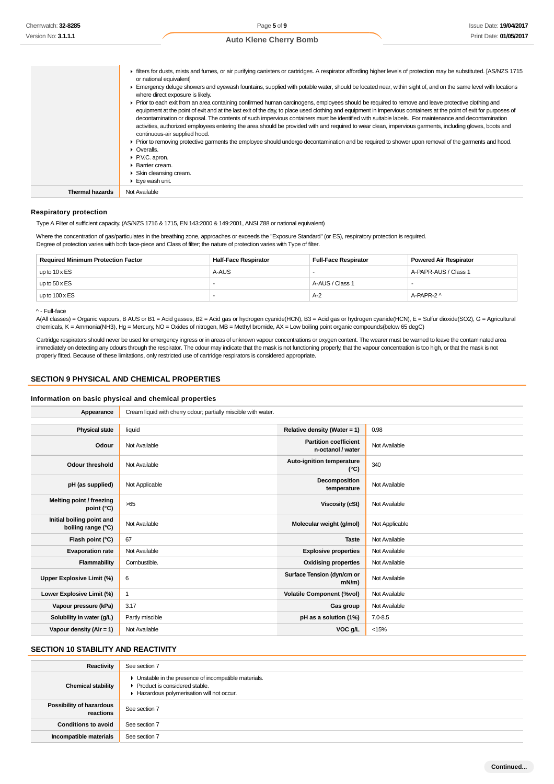|                        | Filters for dusts, mists and fumes, or air purifying canisters or cartridges. A respirator affording higher levels of protection may be substituted. [AS/NZS 1715<br>or national equivalent]<br>Emergency deluge showers and eyewash fountains, supplied with potable water, should be located near, within sight of, and on the same level with locations<br>where direct exposure is likely.<br>► Prior to each exit from an area containing confirmed human carcinogens, employees should be required to remove and leave protective clothing and<br>equipment at the point of exit and at the last exit of the day, to place used clothing and equipment in impervious containers at the point of exit for purposes of<br>decontamination or disposal. The contents of such impervious containers must be identified with suitable labels. For maintenance and decontamination<br>activities, authorized employees entering the area should be provided with and required to wear clean, impervious garments, including gloves, boots and<br>continuous-air supplied hood.<br>► Prior to removing protective garments the employee should undergo decontamination and be required to shower upon removal of the garments and hood.<br>• Overalls.<br>▶ P.V.C. apron.<br>▶ Barrier cream.<br>$\triangleright$ Skin cleansing cream.<br>$\blacktriangleright$ Eye wash unit. |
|------------------------|--------------------------------------------------------------------------------------------------------------------------------------------------------------------------------------------------------------------------------------------------------------------------------------------------------------------------------------------------------------------------------------------------------------------------------------------------------------------------------------------------------------------------------------------------------------------------------------------------------------------------------------------------------------------------------------------------------------------------------------------------------------------------------------------------------------------------------------------------------------------------------------------------------------------------------------------------------------------------------------------------------------------------------------------------------------------------------------------------------------------------------------------------------------------------------------------------------------------------------------------------------------------------------------------------------------------------------------------------------------------------------|
| <b>Thermal hazards</b> | Not Available                                                                                                                                                                                                                                                                                                                                                                                                                                                                                                                                                                                                                                                                                                                                                                                                                                                                                                                                                                                                                                                                                                                                                                                                                                                                                                                                                                  |

### **Respiratory protection**

Type A Filter of sufficient capacity. (AS/NZS 1716 & 1715, EN 143:2000 & 149:2001, ANSI Z88 or national equivalent)

Where the concentration of gas/particulates in the breathing zone, approaches or exceeds the "Exposure Standard" (or ES), respiratory protection is required. Degree of protection varies with both face-piece and Class of filter; the nature of protection varies with Type of filter.

| <b>Required Minimum Protection Factor</b> | <b>Half-Face Respirator</b> | <b>Full-Face Respirator</b> | <b>Powered Air Respirator</b> |
|-------------------------------------------|-----------------------------|-----------------------------|-------------------------------|
| up to $10 \times ES$                      | A-AUS                       |                             | A-PAPR-AUS / Class 1          |
| up to $50 \times ES$                      |                             | A-AUS / Class 1             |                               |
| up to $100 \times ES$                     |                             | $A-2$                       | A-PAPR-2 ^                    |

### ^ - Full-face

A(All classes) = Organic vapours, B AUS or B1 = Acid gasses, B2 = Acid gas or hydrogen cyanide(HCN), B3 = Acid gas or hydrogen cyanide(HCN), E = Sulfur dioxide(SO2), G = Agricultural chemicals, K = Ammonia(NH3), Hg = Mercury, NO = Oxides of nitrogen, MB = Methyl bromide, AX = Low boiling point organic compounds(below 65 degC)

Cartridge respirators should never be used for emergency ingress or in areas of unknown vapour concentrations or oxygen content. The wearer must be warned to leave the contaminated area immediately on detecting any odours through the respirator. The odour may indicate that the mask is not functioning properly, that the vapour concentration is too high, or that the mask is not properly fitted. Because of these limitations, only restricted use of cartridge respirators is considered appropriate.

### **SECTION 9 PHYSICAL AND CHEMICAL PROPERTIES**

### **Information on basic physical and chemical properties**

| Appearance                                      | Cream liquid with cherry odour; partially miscible with water. |                                                   |                |
|-------------------------------------------------|----------------------------------------------------------------|---------------------------------------------------|----------------|
|                                                 |                                                                |                                                   |                |
| <b>Physical state</b>                           | liquid                                                         | Relative density (Water = 1)                      | 0.98           |
| Odour                                           | Not Available                                                  | <b>Partition coefficient</b><br>n-octanol / water | Not Available  |
| Odour threshold                                 | Not Available                                                  | Auto-ignition temperature<br>$(^{\circ}C)$        | 340            |
| pH (as supplied)                                | Not Applicable                                                 | Decomposition<br>temperature                      | Not Available  |
| Melting point / freezing<br>point (°C)          | $>65$                                                          | <b>Viscosity (cSt)</b>                            | Not Available  |
| Initial boiling point and<br>boiling range (°C) | Not Available                                                  | Molecular weight (g/mol)                          | Not Applicable |
| Flash point (°C)                                | 67                                                             | <b>Taste</b>                                      | Not Available  |
| <b>Evaporation rate</b>                         | Not Available                                                  | <b>Explosive properties</b>                       | Not Available  |
| Flammability                                    | Combustible.                                                   | <b>Oxidising properties</b>                       | Not Available  |
| Upper Explosive Limit (%)                       | 6                                                              | Surface Tension (dyn/cm or<br>$mN/m$ )            | Not Available  |
| Lower Explosive Limit (%)                       | 1                                                              | <b>Volatile Component (%vol)</b>                  | Not Available  |
| Vapour pressure (kPa)                           | 3.17                                                           | <b>Gas group</b>                                  | Not Available  |
| Solubility in water (g/L)                       | Partly miscible                                                | pH as a solution (1%)                             | $7.0 - 8.5$    |
| Vapour density ( $Air = 1$ )                    | Not Available                                                  | VOC g/L                                           | < 15%          |

# **SECTION 10 STABILITY AND REACTIVITY**

| Reactivity                            | See section 7                                                                                                                        |
|---------------------------------------|--------------------------------------------------------------------------------------------------------------------------------------|
| <b>Chemical stability</b>             | • Unstable in the presence of incompatible materials.<br>▶ Product is considered stable.<br>Hazardous polymerisation will not occur. |
| Possibility of hazardous<br>reactions | See section 7                                                                                                                        |
| <b>Conditions to avoid</b>            | See section 7                                                                                                                        |
| Incompatible materials                | See section 7                                                                                                                        |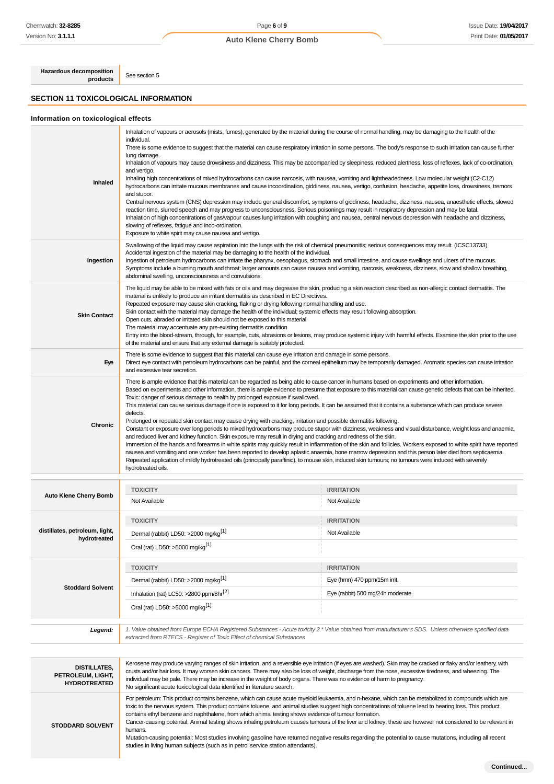# Page **6** of **9 Auto Klene Cherry Bomb**

**Hazardous decomposition**

**SECTION 11 TOXICOLOGICAL INFORMATION**

See section 5

# **Information on toxicological effects**

| Inhaled                                        | Inhalation of vapours or aerosols (mists, fumes), generated by the material during the course of normal handling, may be damaging to the health of the<br>individual.<br>There is some evidence to suggest that the material can cause respiratory irritation in some persons. The body's response to such irritation can cause further<br>lung damage.<br>Inhalation of vapours may cause drowsiness and dizziness. This may be accompanied by sleepiness, reduced alertness, loss of reflexes, lack of co-ordination,<br>and vertigo.<br>Inhaling high concentrations of mixed hydrocarbons can cause narcosis, with nausea, vomiting and lightheadedness. Low molecular weight (C2-C12)<br>hydrocarbons can irritate mucous membranes and cause incoordination, giddiness, nausea, vertigo, confusion, headache, appetite loss, drowsiness, tremors<br>and stupor.<br>Central nervous system (CNS) depression may include general discomfort, symptoms of giddiness, headache, dizziness, nausea, anaesthetic effects, slowed<br>reaction time, slurred speech and may progress to unconsciousness. Serious poisonings may result in respiratory depression and may be fatal.<br>Inhalation of high concentrations of gas/vapour causes lung irritation with coughing and nausea, central nervous depression with headache and dizziness,<br>slowing of reflexes, fatigue and inco-ordination.<br>Exposure to white spirit may cause nausea and vertigo.<br>Swallowing of the liquid may cause aspiration into the lungs with the risk of chemical pneumonitis; serious consequences may result. (ICSC13733) |                                                                                                                                                                                                                                                                                                                                                                                                                                                                                                                                                                                                                                                                                                                                                                                                                                                                                                                                                                                                                                                                                                                                                                                                                                                                                                                                                                        |  |  |  |  |
|------------------------------------------------|-----------------------------------------------------------------------------------------------------------------------------------------------------------------------------------------------------------------------------------------------------------------------------------------------------------------------------------------------------------------------------------------------------------------------------------------------------------------------------------------------------------------------------------------------------------------------------------------------------------------------------------------------------------------------------------------------------------------------------------------------------------------------------------------------------------------------------------------------------------------------------------------------------------------------------------------------------------------------------------------------------------------------------------------------------------------------------------------------------------------------------------------------------------------------------------------------------------------------------------------------------------------------------------------------------------------------------------------------------------------------------------------------------------------------------------------------------------------------------------------------------------------------------------------------------------------------------------------------------------------|------------------------------------------------------------------------------------------------------------------------------------------------------------------------------------------------------------------------------------------------------------------------------------------------------------------------------------------------------------------------------------------------------------------------------------------------------------------------------------------------------------------------------------------------------------------------------------------------------------------------------------------------------------------------------------------------------------------------------------------------------------------------------------------------------------------------------------------------------------------------------------------------------------------------------------------------------------------------------------------------------------------------------------------------------------------------------------------------------------------------------------------------------------------------------------------------------------------------------------------------------------------------------------------------------------------------------------------------------------------------|--|--|--|--|
| Ingestion                                      | Accidental ingestion of the material may be damaging to the health of the individual.<br>Ingestion of petroleum hydrocarbons can irritate the pharynx, oesophagus, stomach and small intestine, and cause swellings and ulcers of the mucous.<br>Symptoms include a burning mouth and throat; larger amounts can cause nausea and vomiting, narcosis, weakness, dizziness, slow and shallow breathing,<br>abdominal swelling, unconsciousness and convulsions.                                                                                                                                                                                                                                                                                                                                                                                                                                                                                                                                                                                                                                                                                                                                                                                                                                                                                                                                                                                                                                                                                                                                                  |                                                                                                                                                                                                                                                                                                                                                                                                                                                                                                                                                                                                                                                                                                                                                                                                                                                                                                                                                                                                                                                                                                                                                                                                                                                                                                                                                                        |  |  |  |  |
| <b>Skin Contact</b>                            | The liquid may be able to be mixed with fats or oils and may degrease the skin, producing a skin reaction described as non-allergic contact dermatitis. The<br>material is unlikely to produce an irritant dermatitis as described in EC Directives.<br>Repeated exposure may cause skin cracking, flaking or drying following normal handling and use.<br>Skin contact with the material may damage the health of the individual; systemic effects may result following absorption.<br>Open cuts, abraded or irritated skin should not be exposed to this material<br>The material may accentuate any pre-existing dermatitis condition<br>Entry into the blood-stream, through, for example, cuts, abrasions or lesions, may produce systemic injury with harmful effects. Examine the skin prior to the use<br>of the material and ensure that any external damage is suitably protected.                                                                                                                                                                                                                                                                                                                                                                                                                                                                                                                                                                                                                                                                                                                    |                                                                                                                                                                                                                                                                                                                                                                                                                                                                                                                                                                                                                                                                                                                                                                                                                                                                                                                                                                                                                                                                                                                                                                                                                                                                                                                                                                        |  |  |  |  |
| Eye                                            | There is some evidence to suggest that this material can cause eye irritation and damage in some persons.<br>Direct eye contact with petroleum hydrocarbons can be painful, and the corneal epithelium may be temporarily damaged. Aromatic species can cause irritation<br>and excessive tear secretion.                                                                                                                                                                                                                                                                                                                                                                                                                                                                                                                                                                                                                                                                                                                                                                                                                                                                                                                                                                                                                                                                                                                                                                                                                                                                                                       |                                                                                                                                                                                                                                                                                                                                                                                                                                                                                                                                                                                                                                                                                                                                                                                                                                                                                                                                                                                                                                                                                                                                                                                                                                                                                                                                                                        |  |  |  |  |
| Chronic                                        | Toxic: danger of serious damage to health by prolonged exposure if swallowed.<br>defects.<br>hydrotreated oils.                                                                                                                                                                                                                                                                                                                                                                                                                                                                                                                                                                                                                                                                                                                                                                                                                                                                                                                                                                                                                                                                                                                                                                                                                                                                                                                                                                                                                                                                                                 | There is ample evidence that this material can be regarded as being able to cause cancer in humans based on experiments and other information.<br>Based on experiments and other information, there is ample evidence to presume that exposure to this material can cause genetic defects that can be inherited.<br>This material can cause serious damage if one is exposed to it for long periods. It can be assumed that it contains a substance which can produce severe<br>Prolonged or repeated skin contact may cause drying with cracking, irritation and possible dermatitis following.<br>Constant or exposure over long periods to mixed hydrocarbons may produce stupor with dizziness, weakness and visual disturbance, weight loss and anaemia,<br>and reduced liver and kidney function. Skin exposure may result in drying and cracking and redness of the skin.<br>Immersion of the hands and forearms in white spirits may quickly result in inflammation of the skin and follicles. Workers exposed to white spirit have reported<br>nausea and vomiting and one worker has been reported to develop aplastic anaemia, bone marrow depression and this person later died from septicaemia.<br>Repeated application of mildly hydrotreated oils (principally paraffinic), to mouse skin, induced skin tumours; no tumours were induced with severely |  |  |  |  |
|                                                | <b>TOXICITY</b>                                                                                                                                                                                                                                                                                                                                                                                                                                                                                                                                                                                                                                                                                                                                                                                                                                                                                                                                                                                                                                                                                                                                                                                                                                                                                                                                                                                                                                                                                                                                                                                                 | <b>IRRITATION</b>                                                                                                                                                                                                                                                                                                                                                                                                                                                                                                                                                                                                                                                                                                                                                                                                                                                                                                                                                                                                                                                                                                                                                                                                                                                                                                                                                      |  |  |  |  |
| <b>Auto Klene Cherry Bomb</b>                  | Not Available                                                                                                                                                                                                                                                                                                                                                                                                                                                                                                                                                                                                                                                                                                                                                                                                                                                                                                                                                                                                                                                                                                                                                                                                                                                                                                                                                                                                                                                                                                                                                                                                   | Not Available                                                                                                                                                                                                                                                                                                                                                                                                                                                                                                                                                                                                                                                                                                                                                                                                                                                                                                                                                                                                                                                                                                                                                                                                                                                                                                                                                          |  |  |  |  |
|                                                | <b>TOXICITY</b>                                                                                                                                                                                                                                                                                                                                                                                                                                                                                                                                                                                                                                                                                                                                                                                                                                                                                                                                                                                                                                                                                                                                                                                                                                                                                                                                                                                                                                                                                                                                                                                                 | <b>IRRITATION</b>                                                                                                                                                                                                                                                                                                                                                                                                                                                                                                                                                                                                                                                                                                                                                                                                                                                                                                                                                                                                                                                                                                                                                                                                                                                                                                                                                      |  |  |  |  |
| distillates, petroleum, light,<br>hydrotreated | Dermal (rabbit) LD50: >2000 mg/kg <sup>[1]</sup>                                                                                                                                                                                                                                                                                                                                                                                                                                                                                                                                                                                                                                                                                                                                                                                                                                                                                                                                                                                                                                                                                                                                                                                                                                                                                                                                                                                                                                                                                                                                                                | Not Available                                                                                                                                                                                                                                                                                                                                                                                                                                                                                                                                                                                                                                                                                                                                                                                                                                                                                                                                                                                                                                                                                                                                                                                                                                                                                                                                                          |  |  |  |  |
|                                                | Oral (rat) LD50: >5000 mg/kg $^{[1]}$                                                                                                                                                                                                                                                                                                                                                                                                                                                                                                                                                                                                                                                                                                                                                                                                                                                                                                                                                                                                                                                                                                                                                                                                                                                                                                                                                                                                                                                                                                                                                                           |                                                                                                                                                                                                                                                                                                                                                                                                                                                                                                                                                                                                                                                                                                                                                                                                                                                                                                                                                                                                                                                                                                                                                                                                                                                                                                                                                                        |  |  |  |  |
|                                                | <b>TOXICITY</b>                                                                                                                                                                                                                                                                                                                                                                                                                                                                                                                                                                                                                                                                                                                                                                                                                                                                                                                                                                                                                                                                                                                                                                                                                                                                                                                                                                                                                                                                                                                                                                                                 | <b>IRRITATION</b>                                                                                                                                                                                                                                                                                                                                                                                                                                                                                                                                                                                                                                                                                                                                                                                                                                                                                                                                                                                                                                                                                                                                                                                                                                                                                                                                                      |  |  |  |  |
|                                                | Dermal (rabbit) LD50: >2000 mg/kg <sup>[1]</sup>                                                                                                                                                                                                                                                                                                                                                                                                                                                                                                                                                                                                                                                                                                                                                                                                                                                                                                                                                                                                                                                                                                                                                                                                                                                                                                                                                                                                                                                                                                                                                                | Eye (hmn) 470 ppm/15m irrit.                                                                                                                                                                                                                                                                                                                                                                                                                                                                                                                                                                                                                                                                                                                                                                                                                                                                                                                                                                                                                                                                                                                                                                                                                                                                                                                                           |  |  |  |  |
| <b>Stoddard Solvent</b>                        | Inhalation (rat) LC50: >2800 ppm/8hr <sup>[2]</sup>                                                                                                                                                                                                                                                                                                                                                                                                                                                                                                                                                                                                                                                                                                                                                                                                                                                                                                                                                                                                                                                                                                                                                                                                                                                                                                                                                                                                                                                                                                                                                             | Eye (rabbit) 500 mg/24h moderate                                                                                                                                                                                                                                                                                                                                                                                                                                                                                                                                                                                                                                                                                                                                                                                                                                                                                                                                                                                                                                                                                                                                                                                                                                                                                                                                       |  |  |  |  |
|                                                | Oral (rat) LD50: >5000 mg/kg <sup>[1]</sup>                                                                                                                                                                                                                                                                                                                                                                                                                                                                                                                                                                                                                                                                                                                                                                                                                                                                                                                                                                                                                                                                                                                                                                                                                                                                                                                                                                                                                                                                                                                                                                     |                                                                                                                                                                                                                                                                                                                                                                                                                                                                                                                                                                                                                                                                                                                                                                                                                                                                                                                                                                                                                                                                                                                                                                                                                                                                                                                                                                        |  |  |  |  |
| Legend:                                        | 1. Value obtained from Europe ECHA Registered Substances - Acute toxicity 2.* Value obtained from manufacturer's SDS. Unless otherwise specified data<br>extracted from RTECS - Register of Toxic Effect of chemical Substances                                                                                                                                                                                                                                                                                                                                                                                                                                                                                                                                                                                                                                                                                                                                                                                                                                                                                                                                                                                                                                                                                                                                                                                                                                                                                                                                                                                 |                                                                                                                                                                                                                                                                                                                                                                                                                                                                                                                                                                                                                                                                                                                                                                                                                                                                                                                                                                                                                                                                                                                                                                                                                                                                                                                                                                        |  |  |  |  |
| <b>DISTILLATES,</b><br>PETROLEUM, LIGHT,       | Kerosene may produce varying ranges of skin irritation, and a reversible eye irritation (if eyes are washed). Skin may be cracked or flaky and/or leathery, with<br>crusts and/or hair loss. It may worsen skin cancers. There may also be loss of weight, discharge from the nose, excessive tiredness, and wheezing. The<br>individual may be pale. There may be increase in the weight of body organs. There was no evidence of harm to pregnancy.                                                                                                                                                                                                                                                                                                                                                                                                                                                                                                                                                                                                                                                                                                                                                                                                                                                                                                                                                                                                                                                                                                                                                           |                                                                                                                                                                                                                                                                                                                                                                                                                                                                                                                                                                                                                                                                                                                                                                                                                                                                                                                                                                                                                                                                                                                                                                                                                                                                                                                                                                        |  |  |  |  |
| <b>HYDROTREATED</b>                            | No significant acute toxicological data identified in literature search.                                                                                                                                                                                                                                                                                                                                                                                                                                                                                                                                                                                                                                                                                                                                                                                                                                                                                                                                                                                                                                                                                                                                                                                                                                                                                                                                                                                                                                                                                                                                        |                                                                                                                                                                                                                                                                                                                                                                                                                                                                                                                                                                                                                                                                                                                                                                                                                                                                                                                                                                                                                                                                                                                                                                                                                                                                                                                                                                        |  |  |  |  |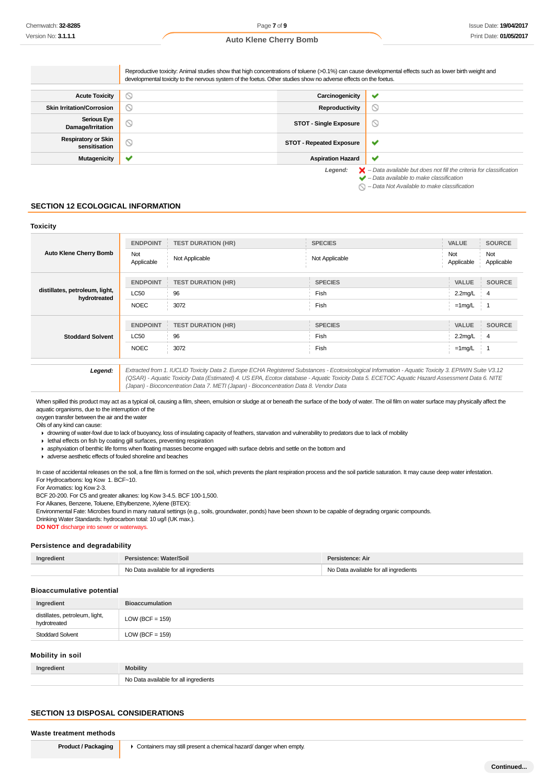|                                             | Reproductive toxicity: Animal studies show that high concentrations of toluene (>0.1%) can cause developmental effects such as lower birth weight and<br>developmental toxicity to the nervous system of the foetus. Other studies show no adverse effects on the foetus. |                                 |                                                                                                                                                           |
|---------------------------------------------|---------------------------------------------------------------------------------------------------------------------------------------------------------------------------------------------------------------------------------------------------------------------------|---------------------------------|-----------------------------------------------------------------------------------------------------------------------------------------------------------|
| <b>Acute Toxicity</b>                       | V                                                                                                                                                                                                                                                                         | Carcinogenicity                 | ✔                                                                                                                                                         |
| <b>Skin Irritation/Corrosion</b>            | S                                                                                                                                                                                                                                                                         | Reproductivity                  | $\circlearrowright$                                                                                                                                       |
| <b>Serious Eye</b><br>Damage/Irritation     | O                                                                                                                                                                                                                                                                         | <b>STOT - Single Exposure</b>   | Ø                                                                                                                                                         |
| <b>Respiratory or Skin</b><br>sensitisation | N                                                                                                                                                                                                                                                                         | <b>STOT - Repeated Exposure</b> | v                                                                                                                                                         |
| Mutagenicity                                |                                                                                                                                                                                                                                                                           | <b>Aspiration Hazard</b>        | ✔                                                                                                                                                         |
|                                             |                                                                                                                                                                                                                                                                           | Legend:                         | $\blacktriangleright$ - Data available but does not fill the criteria for classification<br>$\blacktriangleright$ - Data available to make classification |

 $\bigcap$  – Data Not Available to make classification

### **SECTION 12 ECOLOGICAL INFORMATION**

### **Toxicity**

| <b>Auto Klene Cherry Bomb</b>                  | <b>ENDPOINT</b>   | <b>TEST DURATION (HR)</b> | <b>SPECIES</b> | <b>VALUE</b>      | <b>SOURCE</b>     |
|------------------------------------------------|-------------------|---------------------------|----------------|-------------------|-------------------|
|                                                | Not<br>Applicable | Not Applicable            | Not Applicable | Not<br>Applicable | Not<br>Applicable |
|                                                | <b>ENDPOINT</b>   | <b>TEST DURATION (HR)</b> | <b>SPECIES</b> | <b>VALUE</b>      | <b>SOURCE</b>     |
| distillates, petroleum, light,<br>hydrotreated | LC50              | 96                        | Fish           | $2.2$ mg/L        | $\frac{1}{2}$ 4   |
|                                                | <b>NOEC</b>       | 3072                      | Fish           | $=1$ mg/L         |                   |
|                                                | <b>ENDPOINT</b>   | <b>TEST DURATION (HR)</b> | <b>SPECIES</b> | <b>VALUE</b>      | <b>SOURCE</b>     |
| <b>Stoddard Solvent</b>                        | <b>LC50</b>       | 96                        | Fish           | $2.2$ mg/L        | -4                |
|                                                | <b>NOEC</b>       | 3072                      | Fish           | $=1$ mg/L         |                   |

**Legend:** Extracted from 1. IUCLID Toxicity Data 2. Europe ECHA Registered Substances - Ecotoxicological Information - Aquatic Toxicity 3. EPIWIN Suite V3.12 (QSAR) - Aquatic Toxicity Data (Estimated) 4. US EPA, Ecotox database - Aquatic Toxicity Data 5. ECETOC Aquatic Hazard Assessment Data 6. NITE (Japan) - Bioconcentration Data 7. METI (Japan) - Bioconcentration Data 8. Vendor Data

When spilled this product may act as a typical oil, causing a film, sheen, emulsion or sludge at or beneath the surface of the body of water. The oil film on water surface may physically affect the aquatic organisms, due to the interruption of the

oxygen transfer between the air and the water Oils of any kind can cause:

drowning of water-fowl due to lack of buoyancy, loss of insulating capacity of feathers, starvation and vulnerability to predators due to lack of mobility

 $\blacktriangleright$  lethal effects on fish by coating gill surfaces, preventing respiration

asphyxiation of benthic life forms when floating masses become engaged with surface debris and settle on the bottom and

adverse aesthetic effects of fouled shoreline and beaches

In case of accidental releases on the soil, a fine film is formed on the soil, which prevents the plant respiration process and the soil particle saturation. It may cause deep water infestation. For Hydrocarbons: log Kow 1. BCF~10.

For Aromatics: log Kow 2-3.

BCF 20-200. For C5 and greater alkanes: log Kow 3-4.5. BCF 100-1,500.

For Alkanes, Benzene, Toluene, Ethylbenzene, Xylene (BTEX):

Environmental Fate: Microbes found in many natural settings (e.g., soils, groundwater, ponds) have been shown to be capable of degrading organic compounds.

Drinking Water Standards: hydrocarbon total: 10 ug/l (UK max.).

**DO NOT** discharge into sewer or waterways

### **Persistence and degradability**

| Ingredient | Persistence: Water/Soil               | Persistence: Air                      |
|------------|---------------------------------------|---------------------------------------|
|            | No Data available for all ingredients | No Data available for all ingredients |

### **Bioaccumulative potential**

| Ingredient                                     | <b>Bioaccumulation</b> |
|------------------------------------------------|------------------------|
| distillates, petroleum, light,<br>hydrotreated | $LOW (BCF = 159)$      |
| <b>Stoddard Solvent</b>                        | $LOW (BCF = 159)$      |

### **Mobility in soil**

| Ingredient | <b>Mobility</b>                       |
|------------|---------------------------------------|
|            | No Data available for all ingredients |

### **SECTION 13 DISPOSAL CONSIDERATIONS**

#### **Waste treatment methods**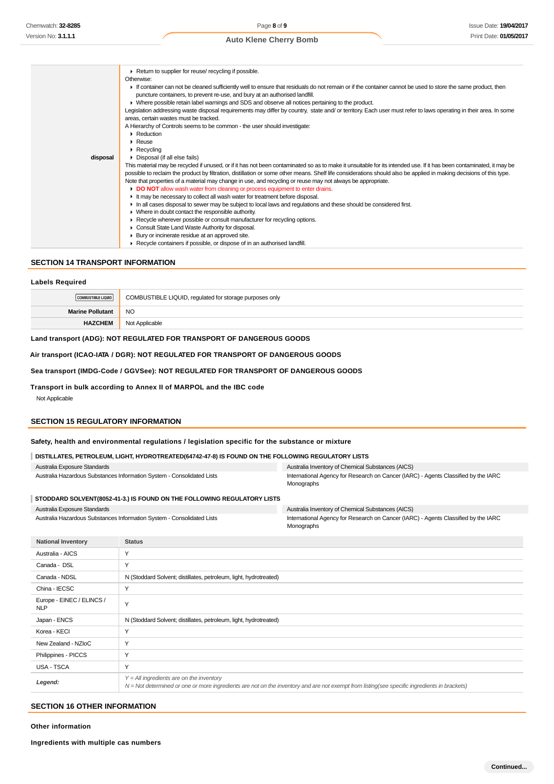|          | ▶ Return to supplier for reuse/ recycling if possible.                                                                                                               |
|----------|----------------------------------------------------------------------------------------------------------------------------------------------------------------------|
|          | Otherwise:                                                                                                                                                           |
|          | If container can not be cleaned sufficiently well to ensure that residuals do not remain or if the container cannot be used to store the same product, then          |
|          | puncture containers, to prevent re-use, and bury at an authorised landfill.                                                                                          |
|          | • Where possible retain label warnings and SDS and observe all notices pertaining to the product.                                                                    |
|          | Legislation addressing waste disposal requirements may differ by country, state and/ or territory. Each user must refer to laws operating in their area. In some     |
|          | areas, certain wastes must be tracked.                                                                                                                               |
|          | A Hierarchy of Controls seems to be common - the user should investigate:                                                                                            |
|          | $\triangleright$ Reduction                                                                                                                                           |
|          | $\triangleright$ Reuse                                                                                                                                               |
|          | $\triangleright$ Recycling                                                                                                                                           |
| disposal | • Disposal (if all else fails)                                                                                                                                       |
|          | This material may be recycled if unused, or if it has not been contaminated so as to make it unsuitable for its intended use. If it has been contaminated, it may be |
|          | possible to reclaim the product by filtration, distillation or some other means. Shelf life considerations should also be applied in making decisions of this type.  |
|          | Note that properties of a material may change in use, and recycling or reuse may not always be appropriate.                                                          |
|          | • DO NOT allow wash water from cleaning or process equipment to enter drains.                                                                                        |
|          | It may be necessary to collect all wash water for treatment before disposal.                                                                                         |
|          | In all cases disposal to sewer may be subject to local laws and regulations and these should be considered first.                                                    |
|          | • Where in doubt contact the responsible authority.                                                                                                                  |
|          | ► Recycle wherever possible or consult manufacturer for recycling options.                                                                                           |
|          | • Consult State Land Waste Authority for disposal.                                                                                                                   |
|          | ▶ Bury or incinerate residue at an approved site.                                                                                                                    |
|          | ▶ Recycle containers if possible, or dispose of in an authorised landfill.                                                                                           |

# **SECTION 14 TRANSPORT INFORMATION**

### **Labels Required**

| COMBUSTIBLE LIQUID      | COMBUSTIBLE LIQUID, regulated for storage purposes only |
|-------------------------|---------------------------------------------------------|
| <b>Marine Pollutant</b> | <b>NO</b>                                               |
| <b>HAZCHEM</b>          | Not Applicable                                          |
|                         |                                                         |

### **Land transport (ADG): NOT REGULATED FOR TRANSPORT OF DANGEROUS GOODS**

**Air transport (ICAO-IATA / DGR): NOT REGULATED FOR TRANSPORT OF DANGEROUS GOODS**

### **Sea transport (IMDG-Code / GGVSee): NOT REGULATED FOR TRANSPORT OF DANGEROUS GOODS**

**Transport in bulk according to Annex II of MARPOL and the IBC code**

Not Applicable

# **SECTION 15 REGULATORY INFORMATION**

### **Safety, health and environmental regulations / legislation specific for the substance or mixture**

| DISTILLATES, PETROLEUM, LIGHT, HYDROTREATED(64742-47-8) IS FOUND ON THE FOLLOWING REGULATORY LISTS |                                                                                    |                                                                         |                                                                                                  |
|----------------------------------------------------------------------------------------------------|------------------------------------------------------------------------------------|-------------------------------------------------------------------------|--------------------------------------------------------------------------------------------------|
| Australia Exposure Standards                                                                       |                                                                                    |                                                                         | Australia Inventory of Chemical Substances (AICS)                                                |
| Australia Hazardous Substances Information System - Consolidated Lists                             |                                                                                    |                                                                         | International Agency for Research on Cancer (IARC) - Agents Classified by the IARC<br>Monographs |
|                                                                                                    |                                                                                    | STODDARD SOLVENT(8052-41-3.) IS FOUND ON THE FOLLOWING REGULATORY LISTS |                                                                                                  |
| Australia Exposure Standards                                                                       |                                                                                    |                                                                         | Australia Inventory of Chemical Substances (AICS)                                                |
|                                                                                                    |                                                                                    | Australia Hazardous Substances Information System - Consolidated Lists  | International Agency for Research on Cancer (IARC) - Agents Classified by the IARC<br>Monographs |
|                                                                                                    | <b>National Inventory</b>                                                          | <b>Status</b>                                                           |                                                                                                  |
|                                                                                                    | Australia - AICS                                                                   | Y                                                                       |                                                                                                  |
|                                                                                                    | Canada - DSL                                                                       | Y                                                                       |                                                                                                  |
|                                                                                                    | Canada - NDSL<br>N (Stoddard Solvent; distillates, petroleum, light, hydrotreated) |                                                                         |                                                                                                  |
|                                                                                                    | China - IECSC                                                                      | Υ                                                                       |                                                                                                  |
| <b>NLP</b>                                                                                         | Europe - EINEC / ELINCS /                                                          | Y                                                                       |                                                                                                  |
|                                                                                                    | Japan - ENCS                                                                       | N (Stoddard Solvent; distillates, petroleum, light, hydrotreated)       |                                                                                                  |
|                                                                                                    | $K$ oron - $K$ $F$ $C$ l                                                           | $\checkmark$                                                            |                                                                                                  |

| New Zealand - NZIoC |                                                                                                                                                                                            |
|---------------------|--------------------------------------------------------------------------------------------------------------------------------------------------------------------------------------------|
| Philippines - PICCS |                                                                                                                                                                                            |
| USA - TSCA          |                                                                                                                                                                                            |
| Legend:             | $Y = All$ ingredients are on the inventory<br>N = Not determined or one or more ingredients are not on the inventory and are not exempt from listing(see specific ingredients in brackets) |

### **SECTION 16 OTHER INFORMATION**

**Other information**

**Ingredients with multiple cas numbers**